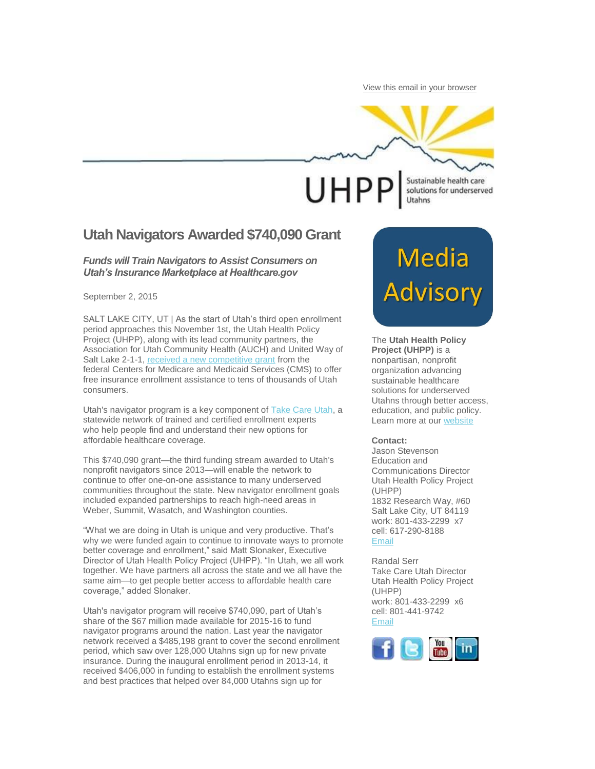[View this email in your browser](http://us1.campaign-archive1.com/?u=656a6686e0e46fdadf04f0a2e&id=ae919d2c5a&e=%5bUNIQID%5d)

## **UHPP** Utahns

Sustainable health care solutions for underserved

### **Utah Navigators Awarded \$740,090 Grant**

#### *Funds will Train Navigators to Assist Consumers on Utah's Insurance Marketplace at Healthcare.gov*

September 2, 2015

SALT LAKE CITY, UT | As the start of Utah's third open enrollment period approaches this November 1st, the Utah Health Policy Project (UHPP), along with its lead community partners, the Association for Utah Community Health (AUCH) and United Way of Salt Lake 2-1-1, [received a new competitive grant](https://www.cms.gov/CCIIO/Programs-and-Initiatives/Health-Insurance-Marketplaces/Downloads/2015_Navigator_Grantee_Summaries_FINAL_09-01-2015.pdf) from the federal Centers for Medicare and Medicaid Services (CMS) to offer free insurance enrollment assistance to tens of thousands of Utah consumers.

Utah's navigator program is a key component of [Take Care Utah,](http://www.takecareutah.org/) a statewide network of trained and certified enrollment experts who help people find and understand their new options for affordable healthcare coverage.

This \$740,090 grant—the third funding stream awarded to Utah's nonprofit navigators since 2013—will enable the network to continue to offer one-on-one assistance to many underserved communities throughout the state. New navigator enrollment goals included expanded partnerships to reach high-need areas in Weber, Summit, Wasatch, and Washington counties.

"What we are doing in Utah is unique and very productive. That's why we were funded again to continue to innovate ways to promote better coverage and enrollment," said Matt Slonaker, Executive Director of Utah Health Policy Project (UHPP). "In Utah, we all work together. We have partners all across the state and we all have the same aim—to get people better access to affordable health care coverage," added Slonaker.

Utah's navigator program will receive \$740,090, part of Utah's share of the \$67 million made available for 2015-16 to fund navigator programs around the nation. Last year the navigator network received a \$485,198 grant to cover the second enrollment period, which saw over 128,000 Utahns sign up for new private insurance. During the inaugural enrollment period in 2013-14, it received \$406,000 in funding to establish the enrollment systems and best practices that helped over 84,000 Utahns sign up for

# Media<br>Advisory

The **Utah Health Policy Project (UHPP)** is a nonpartisan, nonprofit organization advancing sustainable healthcare solutions for underserved Utahns through better access, education, and public policy. Learn more at our [website](http://www.healthpolicyproject.org/)

#### **Contact:**

Jason Stevenson Education and Communications Director Utah Health Policy Project (UHPP) 1832 Research Way, #60 Salt Lake City, UT 84119 work: 801-433-2299 x7 cell: 617-290-8188 [Email](mailto:stevenson@healthpolicyproject.org?subject=re%3A%20Media%20Advisory)

Randal Serr Take Care Utah Director Utah Health Policy Project (UHPP) work: 801-433-2299 x6 cell: 801-441-9742 [Email](mailto:randal@healthpolicyproject.org?subject=re%3A%20Media%20Advisory)